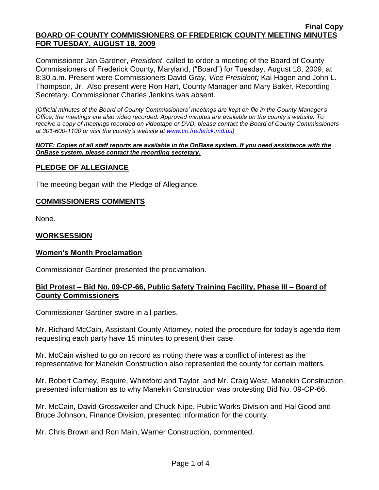### **Final Copy BOARD OF COUNTY COMMISSIONERS OF FREDERICK COUNTY MEETING MINUTES FOR TUESDAY, AUGUST 18, 2009**

Commissioner Jan Gardner, *President*, called to order a meeting of the Board of County Commissioners of Frederick County, Maryland, ("Board") for Tuesday, August 18, 2009, at 8:30 a.m. Present were Commissioners David Gray, *Vice President;* Kai Hagen and John L. Thompson, Jr. Also present were Ron Hart, County Manager and Mary Baker, Recording Secretary. Commissioner Charles Jenkins was absent.

*(Official minutes of the Board of County Commissioners' meetings are kept on file in the County Manager's Office; the meetings are also video recorded. Approved minutes are available on the county's website. To receive a copy of meetings recorded on videotape or DVD, please contact the Board of County Commissioners at 301-600-1100 or visit the county's website at [www.co.frederick.md.us\)](http://www.co.frederick.md.us/)*

#### *NOTE: Copies of all staff reports are available in the OnBase system. If you need assistance with the OnBase system, please contact the recording secretary.*

# **PLEDGE OF ALLEGIANCE**

The meeting began with the Pledge of Allegiance.

# **COMMISSIONERS COMMENTS**

None.

# **WORKSESSION**

# **Women's Month Proclamation**

Commissioner Gardner presented the proclamation.

# **Bid Protest – Bid No. 09-CP-66, Public Safety Training Facility, Phase III – Board of County Commissioners**

Commissioner Gardner swore in all parties.

Mr. Richard McCain, Assistant County Attorney, noted the procedure for today's agenda item requesting each party have 15 minutes to present their case.

Mr. McCain wished to go on record as noting there was a conflict of interest as the representative for Manekin Construction also represented the county for certain matters.

Mr. Robert Carney, Esquire, Whiteford and Taylor, and Mr. Craig West, Manekin Construction, presented information as to why Manekin Construction was protesting Bid No. 09-CP-66.

Mr. McCain, David Grossweiler and Chuck Nipe, Public Works Division and Hal Good and Bruce Johnson, Finance Division, presented information for the county.

Mr. Chris Brown and Ron Main, Warner Construction, commented.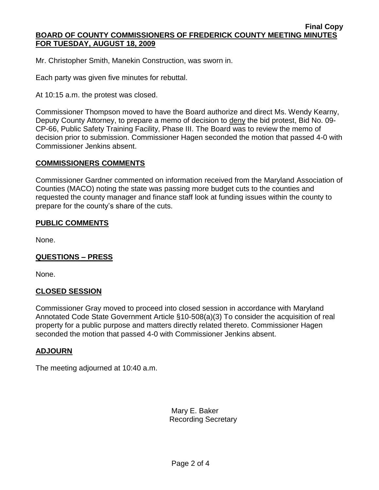Mr. Christopher Smith, Manekin Construction, was sworn in.

Each party was given five minutes for rebuttal.

At 10:15 a.m. the protest was closed.

Commissioner Thompson moved to have the Board authorize and direct Ms. Wendy Kearny, Deputy County Attorney, to prepare a memo of decision to deny the bid protest, Bid No. 09-CP-66, Public Safety Training Facility, Phase III. The Board was to review the memo of decision prior to submission. Commissioner Hagen seconded the motion that passed 4-0 with Commissioner Jenkins absent.

## **COMMISSIONERS COMMENTS**

Commissioner Gardner commented on information received from the Maryland Association of Counties (MACO) noting the state was passing more budget cuts to the counties and requested the county manager and finance staff look at funding issues within the county to prepare for the county's share of the cuts.

## **PUBLIC COMMENTS**

None.

# **QUESTIONS – PRESS**

None.

# **CLOSED SESSION**

Commissioner Gray moved to proceed into closed session in accordance with Maryland Annotated Code State Government Article §10-508(a)(3) To consider the acquisition of real property for a public purpose and matters directly related thereto. Commissioner Hagen seconded the motion that passed 4-0 with Commissioner Jenkins absent.

# **ADJOURN**

The meeting adjourned at 10:40 a.m.

Mary E. Baker Recording Secretary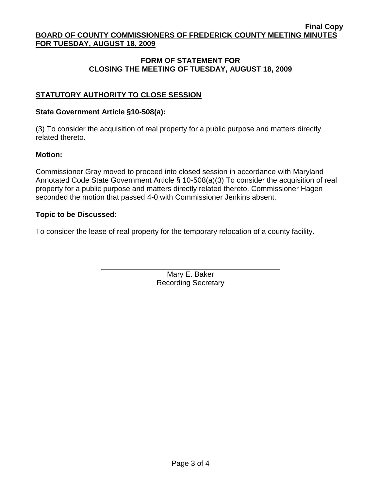### **Final Copy BOARD OF COUNTY COMMISSIONERS OF FREDERICK COUNTY MEETING MINUTES FOR TUESDAY, AUGUST 18, 2009**

# **FORM OF STATEMENT FOR CLOSING THE MEETING OF TUESDAY, AUGUST 18, 2009**

# **STATUTORY AUTHORITY TO CLOSE SESSION**

# **State Government Article §10-508(a):**

(3) To consider the acquisition of real property for a public purpose and matters directly related thereto.

# **Motion:**

Commissioner Gray moved to proceed into closed session in accordance with Maryland Annotated Code State Government Article § 10-508(a)(3) To consider the acquisition of real property for a public purpose and matters directly related thereto. Commissioner Hagen seconded the motion that passed 4-0 with Commissioner Jenkins absent.

# **Topic to be Discussed:**

To consider the lease of real property for the temporary relocation of a county facility.

Mary E. Baker Recording Secretary